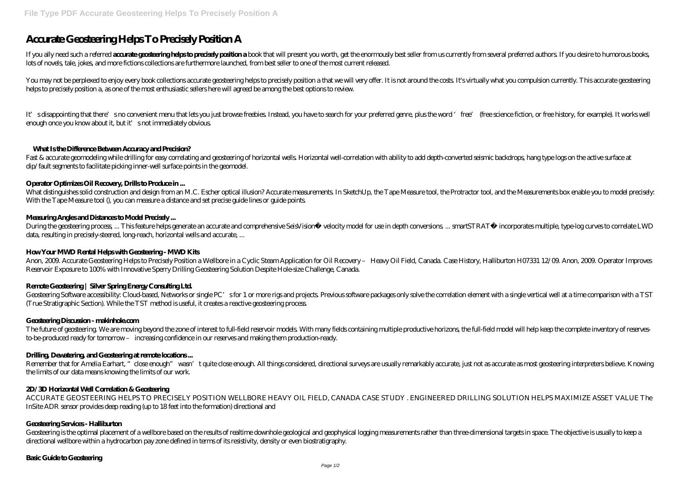# **Accurate Geosteering Helps To Precisely Position A**

If you ally need such a referred **accurate grostering helps to precisely position a** book that will present you worth, get the enormously best seller from us currently from several preferred authors. If you desire to humor lots of novels, tale, jokes, and more fictions collections are furthermore launched, from best seller to one of the most current released.

You may not be perplexed to enjoy every book collections accurate geosteering helps to precisely position a that we will very offer. It is not around the costs It's virtually what you compulsion currently. This accurate ge helps to precisely position a, as one of the most enthusiastic sellers here will agreed be among the best options to review.

It's disappointing that there's no convenient menu that lets you just browse freebies. Instead, you have to search for your preferred genre, plus the word 'free' (free science fiction, or free history, for example). It wor enough once you know about it, but it's not immediately obvious.

What distinguishes solid construction and design from an M.C. Escher optical illusion? Accurate measurements. In SketchUp, the Tape Measure tool, the Protractor tool, and the Measurements box enable you to model precisely: With the Tape Measure tool (), you can measure a distance and set precise guide lines or guide points.

During the geosteering process ... This feature helps generate an accurate and comprehensive SeisVision™ velocity model for use in depth conversions ... smartSTRAT® incorporates multiple, type-log curves to correlate LWD data, resulting in precisely-steered, long-reach, horizontal wells and accurate, ...

## **What Is the Difference Between Accuracy and Precision?**

Fast & accurate geomodeling while drilling for easy correlating and geosteering of horizontal wells. Horizontal well-correlation with ability to add depth-converted seismic backdrops, hang type logs on the active surface at dip/fault segments to facilitate picking inner-well surface points in the geomodel.

Geosteering Software accessibility. Cloud-based, Networks or single PC's for 1 or more rigs and projects. Previous software packages only solve the correlation element with a single vertical well at a time comparison with (True Stratigraphic Section). While the TST method is useful, it creates a reactive geosteering process.

## **Operator Optimizes Oil Recovery, Drills to Produce in ...**

The future of geosteering. We are moving beyond the zone of interest to full-field reservoir models. With many fields containing multiple productive horizons, the full-field model will help keep the complete inventory of r to-be-produced ready for tomorrow – increasing confidence in our reserves and making them production-ready.

Remember that for Amelia Earhart, "close enough" wasn't quite close enough. All things considered, directional surveys are usually remarkably accurate, just not as accurate as most geosteering interpreters believe. Knowing the limits of our data means knowing the limits of our work.

## **Measuring Angles and Distances to Model Precisely ...**

# **How Your MWD Rental Helps with Geosteering - MWD Kits**

Anon, 2009. Accurate Geosteering Helps to Precisely Position a Wellbore in a Cyclic Steam Application for Oil Recovery – Heavy Oil Field, Canada. Case History, Halliburton H07331 12/09. Anon, 2009. Operator Improves Reservoir Exposure to 100% with Innovative Sperry Drilling Geosteering Solution Despite Hole-size Challenge, Canada.

# **Remote Geosteering | Silver Spring Energy Consulting Ltd.**

#### **Geosteering Discussion - makinhole.com**

# **Drilling, Dewatering, and Geosteering at remote locations ...**

#### **2D/3D Horizontal Well Correlation & Geosteering**

ACCURATE GEOSTEERING HELPS TO PRECISELY POSITION WELLBORE HEAVY OIL FIELD, CANADA CASE STUDY . ENGINEERED DRILLING SOLUTION HELPS MAXIMIZE ASSET VALUE The InSite ADR sensor provides deep reading (up to 18 feet into the formation) directional and

#### **Geosteering Services - Halliburton**

Geosteering is the optimal placement of a wellbore based on the results of realtime downhole geological and geophysical logging measurements rather than three-dimensional targets in space. The objective is usually to keep a directional wellbore within a hydrocarbon pay zone defined in terms of its resistivity, density or even biostratigraphy.

#### **Basic Guide to Geosteering**